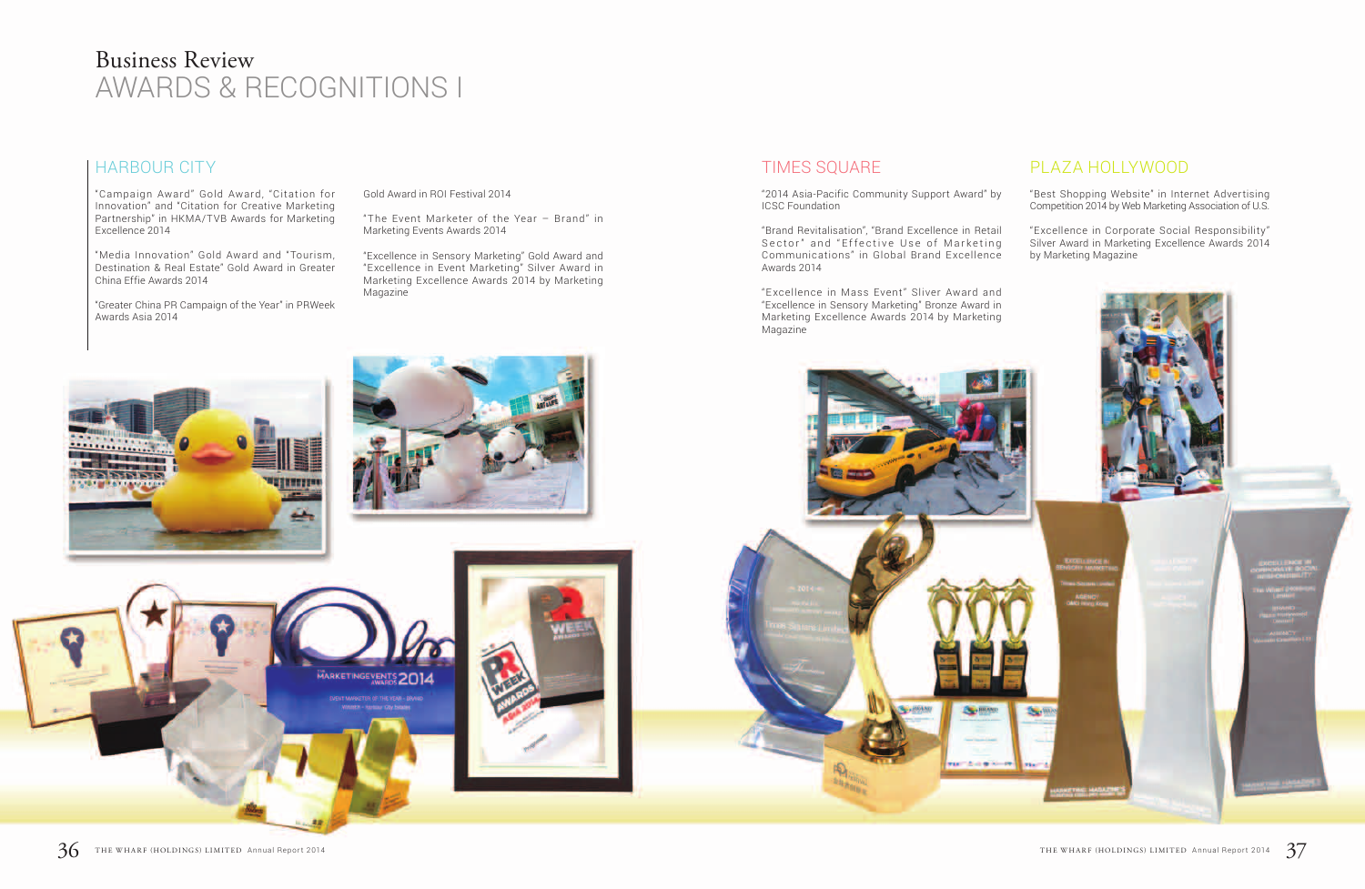### HARBOUR CITY

"Campaign Award" Gold Award, "Citation for Innovation" and "Citation for Creative Marketing Partnership" in HKMA/TVB Awards for Marketing Excellence 2014

"Media Innovation" Gold Award and "Tourism, Destination & Real Estate" Gold Award in Greater China Effie Awards 2014

"Greater China PR Campaign of the Year" in PRWeek Awards Asia 2014

### TIMES SQUARE

"2014 Asia-Pacific Community Support Award" by ICSC Foundation

"Brand Revitalisation", "Brand Excellence in Retail Sector"and"Effective Use of Marketing Communications" in Global Brand Excellence Awards 2014

"Excellence in Mass Event" Sliver Award and "Excellence in Sensory Marketing" Bronze Award in Marketing Excellence Awards 2014 by Marketing Magazine



## PLAZA HOLLYWOOD

"Best Shopping Website" in Internet Advertising Competition 2014 by Web Marketing Association of U.S.

"Excellence in Corporate Social Responsibility" Silver Award in Marketing Excellence Awards 2014 by Marketing Magazine



Gold Award in ROI Festival 2014

"The Event Marketer of the Year – Brand" in Marketing Events Awards 2014

"Excellence in Sensory Marketing" Gold Award and "Excellence in Event Marketing" Silver Award in Marketing Excellence Awards 2014 by Marketing Magazine

# Business Review AWARDS & RECOGNITIONS I